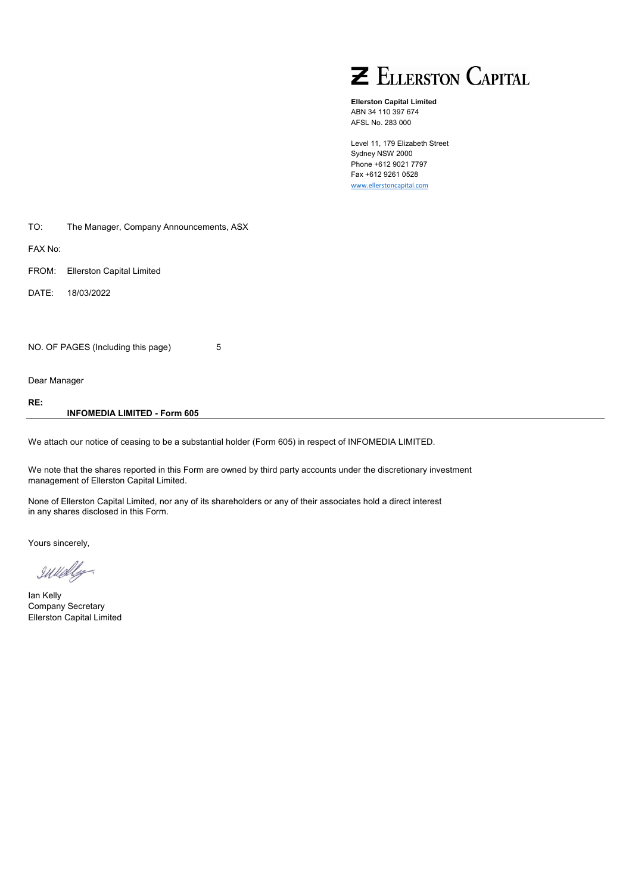

**Ellerston Capital Limited** ABN 34 110 397 674 AFSL No. 283 000

Level 11, 179 Elizabeth Street Sydney NSW 2000 Phone +612 9021 7797 Fax +612 9261 0528 [www.ellerstoncapital.com](http://www.ellerstoncapital.com/)

| TO: | The Manager, Company Announcements, ASX |  |
|-----|-----------------------------------------|--|
|-----|-----------------------------------------|--|

FAX No:

FROM: Ellerston Capital Limited

DATE: 18/03/2022

NO. OF PAGES (Including this page) 5

Dear Manager

**RE:**

**INFOMEDIA LIMITED - Form 605**

We attach our notice of ceasing to be a substantial holder (Form 605) in respect of INFOMEDIA LIMITED.

We note that the shares reported in this Form are owned by third party accounts under the discretionary investment management of Ellerston Capital Limited.

None of Ellerston Capital Limited, nor any of its shareholders or any of their associates hold a direct interest in any shares disclosed in this Form.

Yours sincerely,

IWedly

Ian Kelly Company Secretary Ellerston Capital Limited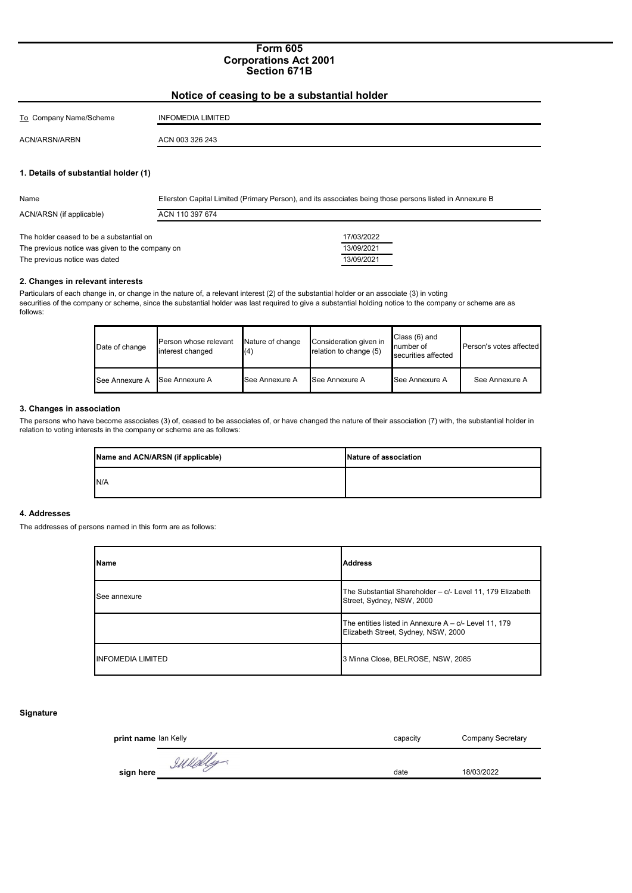### **Form 605 Corporations Act 2001 Section 671B**

| Notice of ceasing to be a substantial holder |                          |  |  |
|----------------------------------------------|--------------------------|--|--|
| To Company Name/Scheme                       | <b>INFOMEDIA LIMITED</b> |  |  |
| ACN/ARSN/ARBN                                | ACN 003 326 243          |  |  |
|                                              |                          |  |  |
| 1. Details of substantial holder (1)         |                          |  |  |

| Name                                            | Ellerston Capital Limited (Primary Person), and its associates being those persons listed in Annexure B |            |
|-------------------------------------------------|---------------------------------------------------------------------------------------------------------|------------|
| ACN/ARSN (if applicable)                        | ACN 110 397 674                                                                                         |            |
|                                                 |                                                                                                         |            |
| The holder ceased to be a substantial on        |                                                                                                         | 17/03/2022 |
| The previous notice was given to the company on |                                                                                                         | 13/09/2021 |
| The previous notice was dated                   |                                                                                                         | 13/09/2021 |

#### **2. Changes in relevant interests**

Particulars of each change in, or change in the nature of, a relevant interest (2) of the substantial holder or an associate (3) in voting securities of the company or scheme, since the substantial holder was last required to give a substantial holding notice to the company or scheme are as follows:

| Date of change | Person whose relevant<br>interest changed | Nature of change<br>(4) | Consideration given in<br>relation to change (5) | Class (6) and<br>number of<br>securities affected | Person's votes affected |
|----------------|-------------------------------------------|-------------------------|--------------------------------------------------|---------------------------------------------------|-------------------------|
| See Annexure A | See Annexure A                            | See Annexure A          | See Annexure A                                   | See Annexure A                                    | See Annexure A          |

### **3. Changes in association**

The persons who have become associates (3) of, ceased to be associates of, or have changed the nature of their association (7) with, the substantial holder in relation to voting interests in the company or scheme are as follows:

| Name and ACN/ARSN (if applicable) | Nature of association |
|-----------------------------------|-----------------------|
| N/A                               |                       |

#### **4. Addresses**

The addresses of persons named in this form are as follows:

| <b>Name</b>              | <b>Address</b>                                                                               |
|--------------------------|----------------------------------------------------------------------------------------------|
| See annexure             | The Substantial Shareholder - c/- Level 11, 179 Elizabeth<br>Street, Sydney, NSW, 2000       |
|                          | The entities listed in Annexure $A - c$ Level 11, 179<br>Elizabeth Street, Sydney, NSW, 2000 |
| <b>INFOMEDIA LIMITED</b> | 3 Minna Close, BELROSE, NSW, 2085                                                            |

## **Signature**

| print name lan Kelly | capacity | <b>Company Secretary</b> |
|----------------------|----------|--------------------------|
| IWHelly<br>sign here | date     | 18/03/2022               |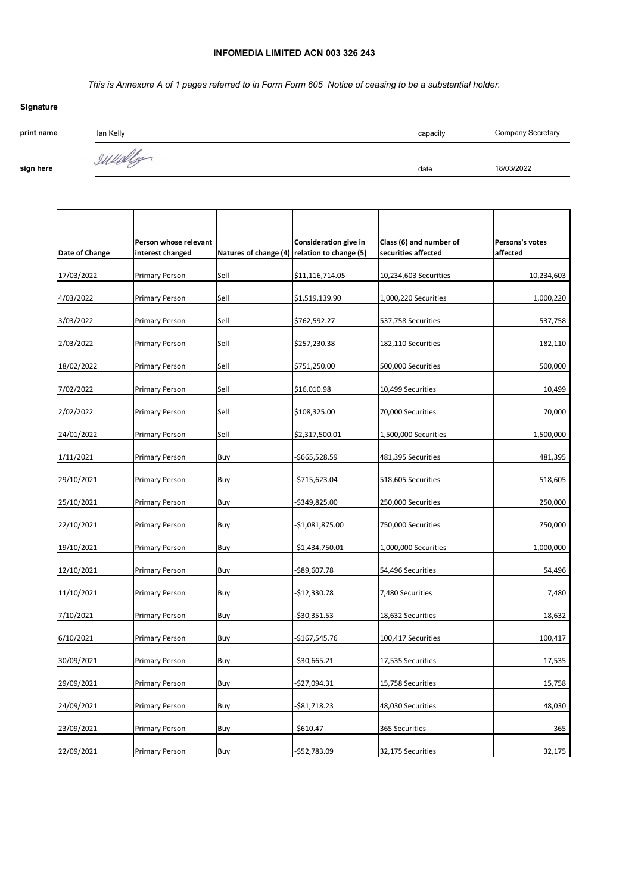# **INFOMEDIA LIMITED ACN 003 326 243**

*This is Annexure A of 1 pages referred to in Form Form 605 Notice of ceasing to be a substantial holder.*

| Signature  |           |          |                          |
|------------|-----------|----------|--------------------------|
| print name | lan Kelly | capacity | <b>Company Secretary</b> |
| sign here  | IWelly    | date     | 18/03/2022               |

| Date of Change | Person whose relevant<br>interest changed | Natures of change (4) | Consideration give in<br>relation to change (5) | Class (6) and number of<br>securities affected | Persons's votes<br>affected |
|----------------|-------------------------------------------|-----------------------|-------------------------------------------------|------------------------------------------------|-----------------------------|
| 17/03/2022     | Primary Person                            | Sell                  | \$11,116,714.05                                 | 10,234,603 Securities                          | 10,234,603                  |
| 4/03/2022      | Primary Person                            | Sell                  | \$1,519,139.90                                  | 1,000,220 Securities                           | 1,000,220                   |
| 3/03/2022      | <b>Primary Person</b>                     | Sell                  | \$762,592.27                                    | 537,758 Securities                             | 537,758                     |
| 2/03/2022      | <b>Primary Person</b>                     | Sell                  | \$257,230.38                                    | 182,110 Securities                             | 182,110                     |
| 18/02/2022     | <b>Primary Person</b>                     | Sell                  | \$751,250.00                                    | 500,000 Securities                             | 500,000                     |
| 7/02/2022      | Primary Person                            | Sell                  | \$16,010.98                                     | 10,499 Securities                              | 10,499                      |
| 2/02/2022      | <b>Primary Person</b>                     | Sell                  | \$108,325.00                                    | 70,000 Securities                              | 70,000                      |
| 24/01/2022     | <b>Primary Person</b>                     | Sell                  | \$2,317,500.01                                  | 1,500,000 Securities                           | 1,500,000                   |
| 1/11/2021      | <b>Primary Person</b>                     | Buy                   | -\$665,528.59                                   | 481,395 Securities                             | 481,395                     |
| 29/10/2021     | Primary Person                            | Buy                   | -\$715,623.04                                   | 518,605 Securities                             | 518,605                     |
| 25/10/2021     | Primary Person                            | Buy                   | -\$349,825.00                                   | 250,000 Securities                             | 250,000                     |
| 22/10/2021     | <b>Primary Person</b>                     | Buy                   | -\$1,081,875.00                                 | 750,000 Securities                             | 750,000                     |
| 19/10/2021     | Primary Person                            | Buy                   | -\$1,434,750.01                                 | 1,000,000 Securities                           | 1,000,000                   |
| 12/10/2021     | <b>Primary Person</b>                     | Buy                   | -\$89,607.78                                    | 54,496 Securities                              | 54,496                      |
| 11/10/2021     | <b>Primary Person</b>                     | Buy                   | -\$12,330.78                                    | 7,480 Securities                               | 7,480                       |
| 7/10/2021      | Primary Person                            | Buy                   | -\$30,351.53                                    | 18,632 Securities                              | 18,632                      |
| 6/10/2021      | <b>Primary Person</b>                     | Buy                   | -\$167,545.76                                   | 100,417 Securities                             | 100,417                     |
| 30/09/2021     | Primary Person                            | Buy                   | -\$30,665.21                                    | 17,535 Securities                              | 17,535                      |
| 29/09/2021     | Primary Person                            | Buy                   | -\$27,094.31                                    | 15,758 Securities                              | 15,758                      |
| 24/09/2021     | Primary Person                            | Buy                   | -\$81,718.23                                    | 48,030 Securities                              | 48,030                      |
| 23/09/2021     | Primary Person                            | Buy                   | -\$610.47                                       | 365 Securities                                 | 365                         |
| 22/09/2021     | <b>Primary Person</b>                     | Buy                   | -\$52,783.09                                    | 32,175 Securities                              | 32,175                      |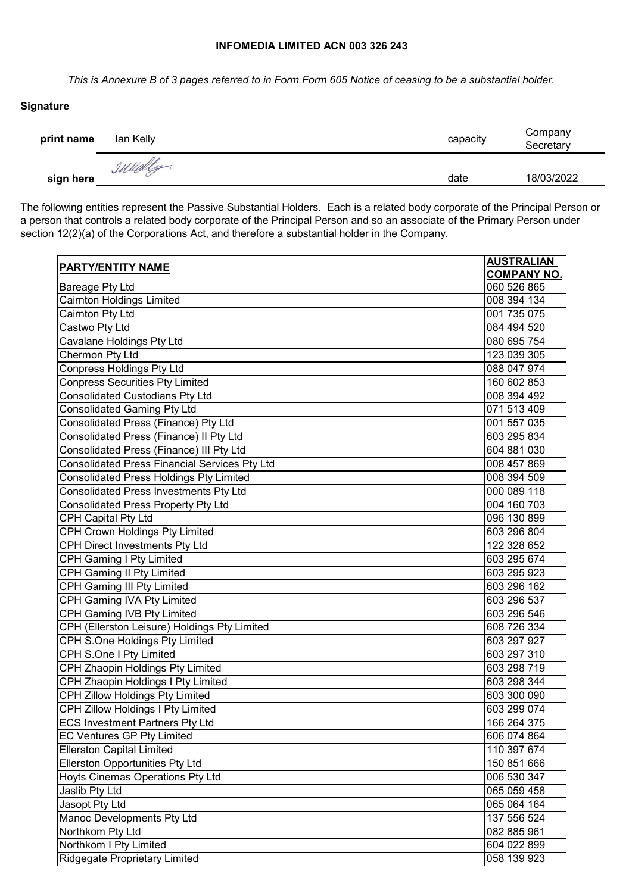## **INFOMEDIA LIMITED ACN 003 326 243**

*This is Annexure B of 3 pages referred to in Form Form 605 Notice of ceasing to be a substantial holder.*

# **Signature**

| print name | lan Kelly | capacity | Company<br>Secretary |
|------------|-----------|----------|----------------------|
| sign here  | sullely   | date     | 18/03/2022           |

The following entities represent the Passive Substantial Holders. Each is a related body corporate of the Principal Person or a person that controls a related body corporate of the Principal Person and so an associate of the Primary Person under section 12(2)(a) of the Corporations Act, and therefore a substantial holder in the Company.

| PARTY/ENTITY NAME                              | <b>AUSTRALIAN</b>  |
|------------------------------------------------|--------------------|
|                                                | <b>COMPANY NO.</b> |
| Bareage Pty Ltd                                | 060 526 865        |
| <b>Cairnton Holdings Limited</b>               | 008 394 134        |
| Cairnton Pty Ltd                               | 001 735 075        |
| Castwo Pty Ltd                                 | 084 494 520        |
| Cavalane Holdings Pty Ltd                      | 080 695 754        |
| Chermon Pty Ltd                                | 123 039 305        |
| <b>Conpress Holdings Pty Ltd</b>               | 088 047 974        |
| <b>Conpress Securities Pty Limited</b>         | 160 602 853        |
| <b>Consolidated Custodians Pty Ltd</b>         | 008 394 492        |
| Consolidated Gaming Pty Ltd                    | 071 513 409        |
| Consolidated Press (Finance) Pty Ltd           | 001 557 035        |
| Consolidated Press (Finance) II Pty Ltd        | 603 295 834        |
| Consolidated Press (Finance) III Pty Ltd       | 604 881 030        |
| Consolidated Press Financial Services Pty Ltd  | 008 457 869        |
| <b>Consolidated Press Holdings Pty Limited</b> | 008 394 509        |
| <b>Consolidated Press Investments Pty Ltd</b>  | 000 089 118        |
| Consolidated Press Property Pty Ltd            | 004 160 703        |
| CPH Capital Pty Ltd                            | 096 130 899        |
| CPH Crown Holdings Pty Limited                 | 603 296 804        |
| CPH Direct Investments Pty Ltd                 | 122 328 652        |
| <b>CPH Gaming I Pty Limited</b>                | 603 295 674        |
| <b>CPH Gaming II Pty Limited</b>               | 603 295 923        |
| <b>CPH Gaming III Pty Limited</b>              | 603 296 162        |
| <b>CPH Gaming IVA Pty Limited</b>              | 603 296 537        |
| CPH Gaming IVB Pty Limited                     | 603 296 546        |
| CPH (Ellerston Leisure) Holdings Pty Limited   | 608 726 334        |
| CPH S.One Holdings Pty Limited                 | 603 297 927        |
| CPH S.One I Pty Limited                        | 603 297 310        |
| <b>CPH Zhaopin Holdings Pty Limited</b>        | 603 298 719        |
| CPH Zhaopin Holdings I Pty Limited             | 603 298 344        |
| <b>CPH Zillow Holdings Pty Limited</b>         | 603 300 090        |
| CPH Zillow Holdings I Pty Limited              | 603 299 074        |
| <b>ECS Investment Partners Pty Ltd</b>         | 166 264 375        |
| EC Ventures GP Pty Limited                     | 606 074 864        |
| <b>Ellerston Capital Limited</b>               | 110 397 674        |
| Ellerston Opportunities Pty Ltd                | 150 851 666        |
| Hoyts Cinemas Operations Pty Ltd               | 006 530 347        |
| Jaslib Pty Ltd                                 | 065 059 458        |
| Jasopt Pty Ltd                                 | 065 064 164        |
| Manoc Developments Pty Ltd                     | 137 556 524        |
| Northkom Pty Ltd                               | 082 885 961        |
| Northkom I Pty Limited                         | 604 022 899        |
| <b>Ridgegate Proprietary Limited</b>           | 058 139 923        |